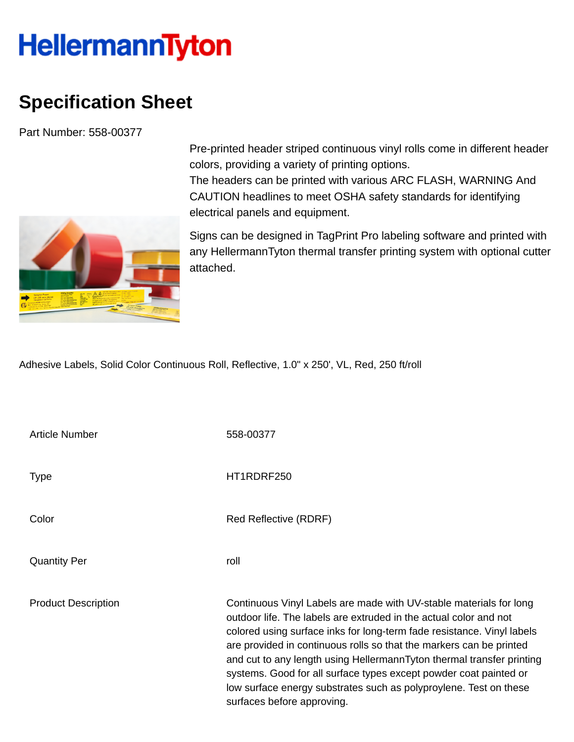## **HellermannTyton**

## **Specification Sheet**

Part Number: 558-00377



Pre-printed header striped continuous vinyl rolls come in different header colors, providing a variety of printing options.

The headers can be printed with various ARC FLASH, WARNING And CAUTION headlines to meet OSHA safety standards for identifying electrical panels and equipment.

Signs can be designed in TagPrint Pro labeling software and printed with any HellermannTyton thermal transfer printing system with optional cutter attached.

Adhesive Labels, Solid Color Continuous Roll, Reflective, 1.0" x 250', VL, Red, 250 ft/roll

| Article Number             | 558-00377                                                                                                                                                                                                                                                                                                                                                                                                                                                                                                                                 |
|----------------------------|-------------------------------------------------------------------------------------------------------------------------------------------------------------------------------------------------------------------------------------------------------------------------------------------------------------------------------------------------------------------------------------------------------------------------------------------------------------------------------------------------------------------------------------------|
| <b>Type</b>                | HT1RDRF250                                                                                                                                                                                                                                                                                                                                                                                                                                                                                                                                |
| Color                      | Red Reflective (RDRF)                                                                                                                                                                                                                                                                                                                                                                                                                                                                                                                     |
| <b>Quantity Per</b>        | roll                                                                                                                                                                                                                                                                                                                                                                                                                                                                                                                                      |
| <b>Product Description</b> | Continuous Vinyl Labels are made with UV-stable materials for long<br>outdoor life. The labels are extruded in the actual color and not<br>colored using surface inks for long-term fade resistance. Vinyl labels<br>are provided in continuous rolls so that the markers can be printed<br>and cut to any length using HellermannTyton thermal transfer printing<br>systems. Good for all surface types except powder coat painted or<br>low surface energy substrates such as polyproylene. Test on these<br>surfaces before approving. |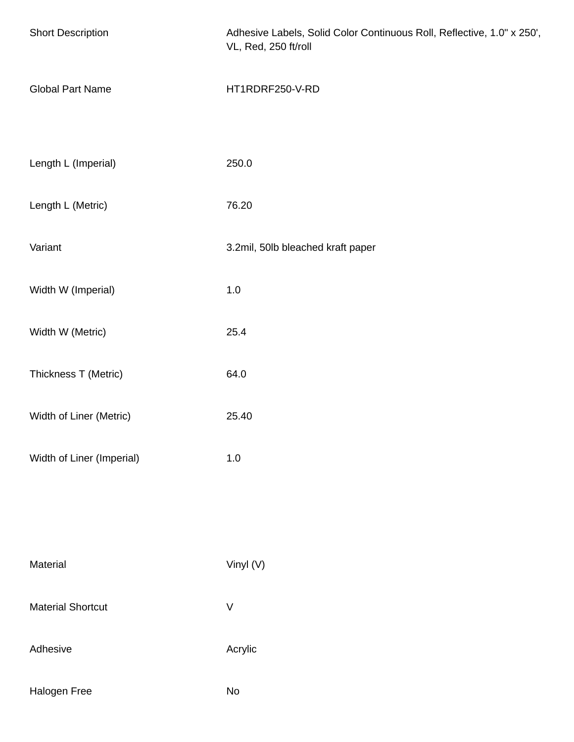| <b>Short Description</b>  | Adhesive Labels, Solid Color Continuous Roll, Reflective, 1.0" x 250',<br>VL, Red, 250 ft/roll |
|---------------------------|------------------------------------------------------------------------------------------------|
| <b>Global Part Name</b>   | HT1RDRF250-V-RD                                                                                |
| Length L (Imperial)       | 250.0                                                                                          |
| Length L (Metric)         | 76.20                                                                                          |
| Variant                   | 3.2mil, 50lb bleached kraft paper                                                              |
| Width W (Imperial)        | $1.0\,$                                                                                        |
| Width W (Metric)          | 25.4                                                                                           |
| Thickness T (Metric)      | 64.0                                                                                           |
| Width of Liner (Metric)   | 25.40                                                                                          |
| Width of Liner (Imperial) | $1.0\,$                                                                                        |
|                           |                                                                                                |
| Material                  | Vinyl (V)                                                                                      |
| <b>Material Shortcut</b>  | $\sf V$                                                                                        |
| Adhesive                  | Acrylic                                                                                        |
| Halogen Free              | No                                                                                             |